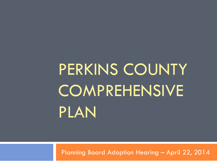# PERKINS COUNTY **COMPREHENSIVE** PLAN

Planning Board Adoption Hearing – April 22, 2014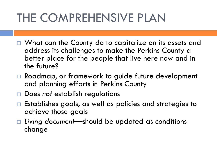### THE COMPREHENSIVE PLAN

- □ What can the County do to capitalize on its assets and address its challenges to make the Perkins County a better place for the people that live here now and in the future?
- □ Roadmap, or framework to guide future development and planning efforts in Perkins County
- Does *not* establish regulations
- $\Box$  Establishes goals, as well as policies and strategies to achieve those goals
- *Living document*—should be updated as conditions change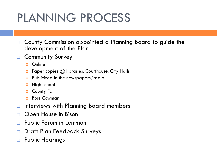### PLANNING PROCESS

- □ County Commission appointed a Planning Board to guide the development of the Plan
- □ Community Survey
	- **D** Online
	- **Paper copies @ libraries, Courthouse, City Halls**
	- **Publicized in the newspapers/radio**
	- $\blacksquare$  High school
	- **D** County Fair
	- **Boss Cowman**
- $\Box$  Interviews with Planning Board members
- □ Open House in Bison
- □ Public Forum in Lemmon
- □ Draft Plan Feedback Surveys
- □ Public Hearings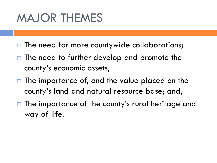### MAJOR THEMES

- $\Box$  The need for more countywide collaborations;
- $\Box$  The need to further develop and promote the county's economic assets;
- $\Box$  The importance of, and the value placed on the county's land and natural resource base; and,
- $\Box$  The importance of the county's rural heritage and way of life.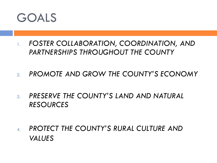

- *1. FOSTER COLLABORATION, COORDINATION, AND PARTNERSHIPS THROUGHOUT THE COUNTY*
- *2. PROMOTE AND GROW THE COUNTY'S ECONOMY*
- *3. PRESERVE THE COUNTY'S LAND AND NATURAL RESOURCES*
- *4. PROTECT THE COUNTY'S RURAL CULTURE AND VALUES*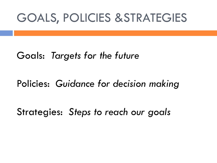### GOALS, POLICIES &STRATEGIES

### Goals: *Targets for the future*

### Policies: *Guidance for decision making*

### Strategies: *Steps to reach our goals*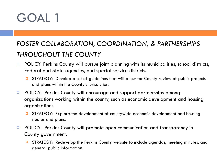#### *FOSTER COLLABORATION, COORDINATION, & PARTNERSHIPS THROUGHOUT THE COUNTY*

- $\Box$  POLICY: Perkins County will pursue joint planning with its municipalities, school districts, Federal and State agencies, and special service districts.
	- **D** STRATEGY: Develop a set of quidelines that will allow for County review of public projects and plans within the County's jurisdiction.
- $\Box$  POLICY: Perkins County will encourage and support partnerships among organizations working within the county, such as economic development and housing organizations.
	- STRATEGY: Explore the development of countywide economic development and housing studies and plans.
- □ POLICY: Perkins County will promote open communication and transparency in County government.
	- **D** STRATEGY: Redevelop the Perkins County website to include agendas, meeting minutes, and general public information.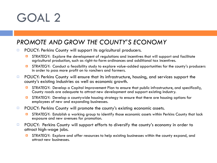#### *PROMOTE AND GROW THE COUNTY'S ECONOMY*

- **POLICY: Perkins County will support its agricultural producers.** 
	- **D** STRATEGY: Explore the development of regulations and incentives that will support and facilitate agricultural production, such as right-to-farm ordinances and additional tax incentives.
	- STRATEGY: Conduct a feasibility study to explore value-added opportunities for the county's producers in order to pass more profit on to ranchers and farmers.
- $\Box$  POLICY: Perkins County will ensure that its infrastructure, housing, and services support the county's existing industries as well as economic growth.
	- **D** STRATEGY: Develop a Capital Improvement Plan to ensure that public infrastructure, and specifically, County roads are adequate to attract new development and support existing industry.
	- **D** STRATEGY: Develop a countywide housing strategy to ensure that there are housing options for employees of new and expanding businesses.
- $\Box$  POLICY: Perkins County will promote the county's existing economic assets.
	- STRATEGY: Establish a working group to identify those economic assets within Perkins County that lack exposure and new avenues for promotion.
- $\Box$  POLICY: Perkins County will support efforts to diversify the county's economy in order to attract high-wage jobs.
	- STRATEGY: Explore and offer resources to help existing businesses within the county expand, and attract new businesses.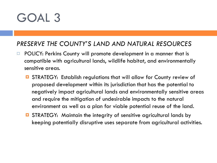#### *PRESERVE THE COUNTY'S LAND AND NATURAL RESOURCES*

- □ POLICY: Perkins County will promote development in a manner that is compatible with agricultural lands, wildlife habitat, and environmentally sensitive areas.
	- **□** STRATEGY: Establish regulations that will allow for County review of proposed development within its jurisdiction that has the potential to negatively impact agricultural lands and environmentally sensitive areas and require the mitigation of undesirable impacts to the natural environment as well as a plan for viable potential reuse of the land.
	- STRATEGY: Maintain the integrity of sensitive agricultural lands by keeping potentially disruptive uses separate from agricultural activities.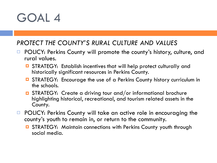#### *PROTECT THE COUNTY'S RURAL CULTURE AND VALUES*

- □ POLICY: Perkins County will promote the county's history, culture, and rural values.
	- **□** STRATEGY: Establish incentives that will help protect culturally and historically significant resources in Perkins County.
	- **D** STRATEGY: Encourage the use of a Perkins County history curriculum in the schools.
	- **D** STRATEGY: Create a driving tour and/or informational brochure highlighting historical, recreational, and tourism related assets in the County.
- □ POLICY: Perkins County will take an active role in encouraging the county's youth to remain in, or return to the community.
	- **E** STRATEGY: Maintain connections with Perkins County youth through social media.